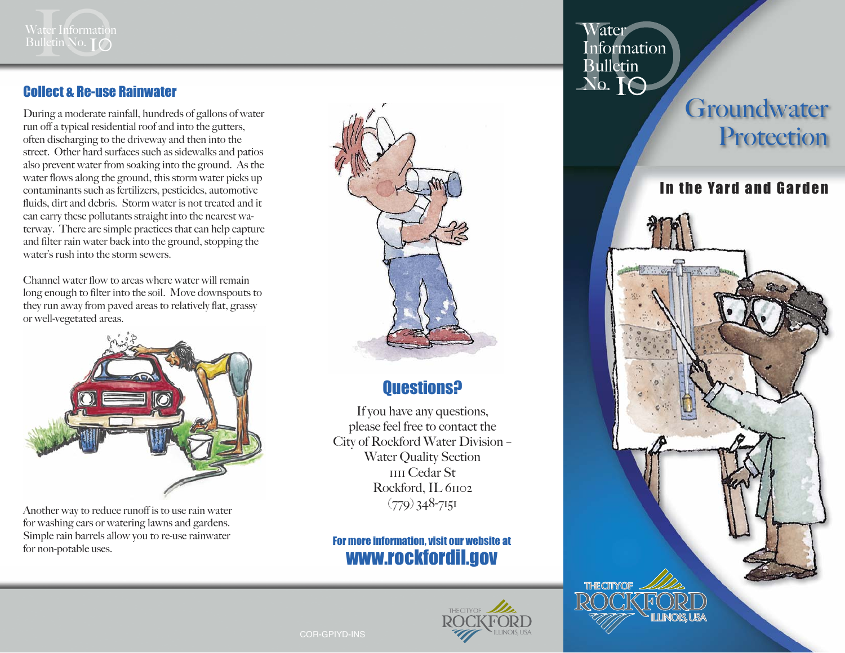

#### Collect & Re-use Rainwater

During a moderate rainfall, hundreds of gallons of water run off a typical residential roof and into the gutters, often discharging to the driveway and then into the street. Other hard surfaces such as sidewalks and patios also prevent water from soaking into the ground. As the water flows along the ground, this storm water picks up contaminants such as fertilizers, pesticides, automotive fluids, dirt and debris. Storm water is not treated and it can carry these pollutants straight into the nearest waterway. There are simple practices that can help capture and filter rain water back into the ground, stopping the water's rush into the storm sewers.

Channel water flow to areas where water will remain long enough to filter into the soil. Move downspouts to they run away from paved areas to relatively flat, grassy or well-vegetated areas.



Another way to reduce runoff is to use rain water for washing cars or watering lawns and gardens. Simple rain barrels allow you to re-use rainwater for non-potable uses.



### Questions?

If you have any questions, please feel free to contact the City of Rockford Water Division – Water Quality Section 1111 Cedar St Rockford, IL 61102  $(779)$  348-7151

#### For more information, visit our website at www.rockfordil.gov



**ater** Information Bulletin<br>No. **IO** 

# **Groundwater** Protection